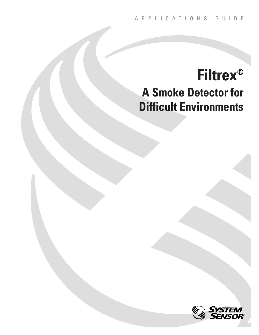# **Filtrex® A Smoke Detector for Difficult Environments**

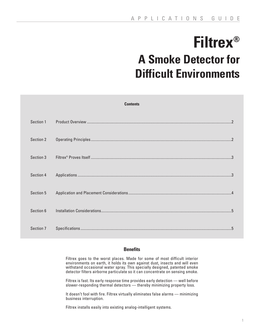# **Filtrex® A Smoke Detector for Difficult Environments**

| <b>Contents</b> |  |  |
|-----------------|--|--|
| Section 1       |  |  |
| Section 2       |  |  |
| Section 3       |  |  |
| Section 4       |  |  |
| Section 5       |  |  |
| Section 6       |  |  |
| Section 7       |  |  |

# **Benefits**

Filtrex goes to the worst places. Made for some of most difficult interior environments on earth, it holds its own against dust, insects and will even withstand occasional water spray. This specially designed, patented smoke detector filters airborne particulate so it can concentrate on sensing smoke.

Filtrex is fast. Its early response time provides early detection — well before slower-responding thermal detectors — thereby minimizing property loss.

It doesn't fool with fire. Filtrex virtually eliminates false alarms — minimizing business interruption.

Filtrex installs easily into existing analog-intelligent systems.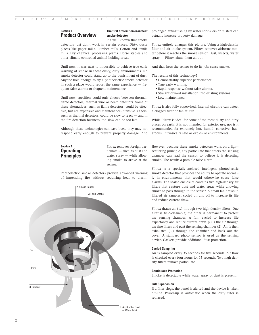# **Section 1 Product Overview**

# **The first difficult environment smoke detector**

It's well known that smoke detectors just don't work in certain places. Dirty, dusty places like paper mills. Lumber mills. Cotton and textile mills. Dry chemical processing plants. Horse stables and other climate controlled animal holding areas.

Until now, it was next to impossible to achieve true early warning of smoke in these dusty, dirty environments. No smoke detector could stand up to the punishment of dust. Anyone bold enough to try a photoelectric smoke detector in such a place would report the same experience — frequent false alarms or frequent maintenance.

Until now, specifiers could only choose between thermal, flame detectors, thermal wire or beam detectors. Some of these alternatives, such as flame detectors, could be effective, but are expensive and maintenance-intensive. Others, such as thermal detectors, could be slow to react — and in the fire detection business, too slow can be too late.

Although these technologies can save lives, they may not respond early enough to prevent property damage. And

## prolonged extinguishing by water sprinklers or misters can actually increase property damage.

Filtrex entirely changes this picture. Using a high-density filter and air intake system, Filtrex removes airborne matter before it reaches the smoke sensor. Dust, insects, water spray — Filtrex shuts them all out.

And that frees the sensor to do its job: sense smoke.

The results of this technology?

- Demonstrably superior performance.
- True early warning.
- Rapid response without false alarms.
- Straightforward installation into existing systems.
- Low maintenance.

Filtrex is also fully supervised. Internal circuitry can detect a clogged filter or fan failure.

While Filtrex is ideal for some of the most dusty and dirty places on earth, it is not intended for exterior use, nor is it recommended for extremely hot, humid, corrosive, hazardous, intrinsically safe or explosive environments.

# **Section 2 Operating Principles**

Filtrex removes foreign particulate — such as dust and water spray — while allowing smoke to arrive at the sensor.

Photoelectric smoke detectors provide advanced warning of impending fire without requiring heat to alarm.



However, because these smoke detectors work on a lightscattering principle, any particulate that enters the sensing chamber can lead the sensor to believe it is detecting smoke. The result: a possible false alarm.

Filtrex is a specially-enclosed intelligent photoelectric smoke detector that provides the ability to operate normally in environments that would otherwise cause false alarms. The sealed enclosure contains two high-density air filters that capture dust and water spray while allowing smoke to pass through to the sensor. A small fan draws-in filtered air samples, cycled on and off to increase its life and reduce current draw.

Filtrex draws air (1.) through two high-density filters. One filter is field-cleanable; the other is permanent to protect the sensing chamber. A fan, cycled to increase life expectancy and reduce current draw, pulls the air through the fine filters and past the sensing chamber (2). Air is then exhausted (3.) through the chamber and back out the cover. A standard photo sensor is used as the sensing device. Gaskets provide additional dust protection.

### **Cycled Sampling**

Air is sampled every 35 seconds for five seconds. Air flow is checked every four hours for 15 seconds. Two high density filters remove particulate.

#### **Continuous Protection**

Smoke is detectable while water spray or dust is present.

#### **Full Supervision**

If a filter clogs, the panel is alerted and the device is taken off-line. Power-up is automatic when the dirty filter is replaced.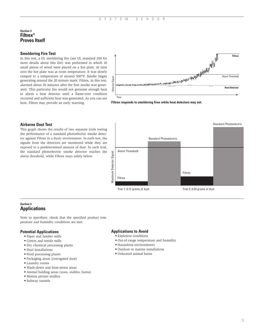# **Section 3 Filtrex® Proves Itself**

# **Smoldering Fire Test**

In this test, a UL smoldering fire (see UL standard 268 for more details about this fire) was performed in which 10 small pieces of wood were placed on a hot plate. At time zero the hot plate was at room temperature. It was slowly ramped to a temperature of around 500ºF. Smoke began generating around the 20 minute mark. Filtrex, in this test, alarmed about 20 minutes after the first smoke was generated. This particular fire would not generate enough heat to alarm a heat detector until a flame-over condition occurred and sufficient heat was generated. As you can see here, Filtrex may provide an early warning.



**Filtrex responds to smoldering fires while heat detectors may not.**

### **Airborne Dust Test**

This graph shows the results of two separate trials testing the performance of a standard photoelectric smoke detector against Filtrex in a dusty environment. In each test, the signals from the detectors are monitored while they are exposed to a predetermined amount of dust. In each trial, the standard photoelectric smoke detector reaches the alarm threshold, while Filtrex stays safely below.



# **Section 4 Applications**

Note to specifiers: check that the specified product temperature and humidity conditions are met.

#### **Potential Applications**

- Paper and lumber mills
- Cotton and textile mills
- Dry chemical processing plants
- Duct Installations
- Food processing plants
- Packaging areas (corrugated dust)
- Laundry rooms
- Wash-down and hose-down areas
- Animal holding areas (zoos, stables, barns)
- Motion picture studios
- Subway tunnels

## **Applications to Avoid**

- Explosive conditions
- Out-of-range temperature and humidity
- Hazardous environments
- Outdoor or marine installations
- Unheated animal barns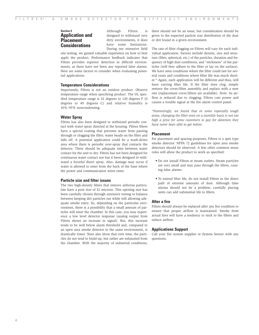# **Section 5 Application and Placement Considerations**

Although Filtrex is designed to withstand very dirty environments, it does have some limitations. During our extensive field

site testing, we gained valuable experience on how to best apply the product. Performance feedback indicates that Filtrex provides superior detection in difficult environments, as there have not been any reported false alarms. Here are some factors to consider when evaluating potential applications.

#### **Temperature Considerations**

Importantly, Filtrex is not an outdoor product. Observe temperature range when specifying product. The UL specified temperature range is 32 degrees to 120 degrees F (0 degrees to 49 degrees C) and relative humidity is 10%–93% noncondensing.

# **Water Spray**

Filtrex has also been designed to withstand periodic contact with water spray directed at the housing. Filtrex filters have a special coating that prevents water from passing through or clogging the filter; water beads on the filter and falls off. A potential application could be a wash-down area where there is periodic over-spray that contacts the detector. There should be adequate time between water contact for the unit to dry. Filtrex has not been designed for continuous water contact nor has it been designed to withstand a forceful direct spray. Also, damage may occur if water is allowed to enter from the back of the base where the power and communication wires enter.

### **Particle size and filter issues**

The two high-density filters that remove airborne particulate have a pore size of 32 microns. This opening size has been carefully chosen through extensive testing to balance between keeping dirt particles out while still allowing adequate smoke entry. So, depending on the particular environment, there is a possibility that a small amount of particles will enter the chamber. In this case, you may experience a low level detector response (analog output from Filtrex shows an increase in signal). But, this increase tends to be well below alarm threshold and, compared to an open area smoke detector in the same environment, is drastically lower. Tests also show that over time, the particles do not tend to build-up, but rather are exhausted from the chamber. With the majority of industrial conditions,

there should not be an issue, but consideration should be given to the expected particle size distribution of the dust or dirt found in a given environment.

The rate of filter clogging on Filtrex will vary for each individual application. Factors include density, size and structure (fiber, spherical, etc.) of the particles, duration and frequency of high dust conditions, and "stickiness" of the particles (will they adhere to the filter or lay on the surface). We have seen conditions where the filter could last for several years and conditions where filter life was much shorter.\* Again, each application will be different and thus, will have varying filter life. If the filter does clog, simply remove the cover/filter assembly and replace with a new one (replacement cover/filters are available). Note: As airflow is reduced due to clogging, Filtrex cuts power and causes a trouble signal at the fire alarm control panel.

*\*Interestingly, we found that in some especially tough areas, changing the filter even on a monthly basis is not too high a price for some customers to pay for detection they have never been able to get before.*

## **Placement**

For placement and spacing purposes, Filtrex is a spot type smoke detector. NFPA 72 guidelines for open area smoke detectors should be observed. A few other common sense rules will allow the product to work as specified:

- Do not install Filtrex at steam outlets. Steam particles are very small and may pass through the filters, causing false alarms.
- To extend filter life, do not install Filtrex in the direct path of extreme amounts of dust. Although false alarms should not be a problem, carefully placing units can add substantial life to filters.

### **After a fire**

Filters should always be replaced after any fire condition to ensure that proper airflow is maintained. Smoke from actual fires will have a tendency to stick to the filters and reduce airflow.

#### **Applications Support**

Call your fire system supplier or System Sensor with any questions.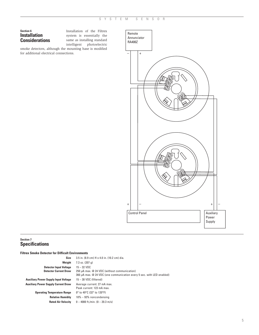# **Section 6 Installation Considerations**

Installation of the Filtrex system is essentially the same as installing standard intelligent photoelectric

smoke detectors, although the mounting base is modified for additional electrical connections.



# **Section 7 Specifications**

| <b>Filtrex Smoke Detector for Difficult Environments</b> |                                                                             |
|----------------------------------------------------------|-----------------------------------------------------------------------------|
| Size                                                     | 3.5 in. (8.9 cm) H x 4.0 in. (10.2 cm) dia.                                 |
| Weight                                                   | 7.3 oz. $(207 q)$                                                           |
| <b>Detector Input Voltage</b>                            | $15 - 32$ VDC                                                               |
| <b>Detector Current Draw</b>                             | 250 µA max. @ 24 VDC (without communication)                                |
|                                                          | 360 $\mu$ A max. @ 24 VDC (one communication every 5 sec. with LED enabled) |
| <b>Auxiliary Power Supply Input Voltage</b>              | $15 - 30 \text{ VDC}$ (filtered)                                            |
| <b>Auxiliary Power Supply Current Draw</b>               | Average current: 27 mA max.                                                 |
|                                                          | Peak current: 123 mA max.                                                   |
| <b>Operating Temperature Range</b>                       | 0° to 49°C (32° to 120°F)                                                   |
| <b>Relative Humidity</b>                                 | 10% - 93% noncondensing                                                     |
| <b>Rated Air Velocity</b>                                | $0 - 4000$ ft./min. $(0 - 20.3$ m/s)                                        |
|                                                          |                                                                             |